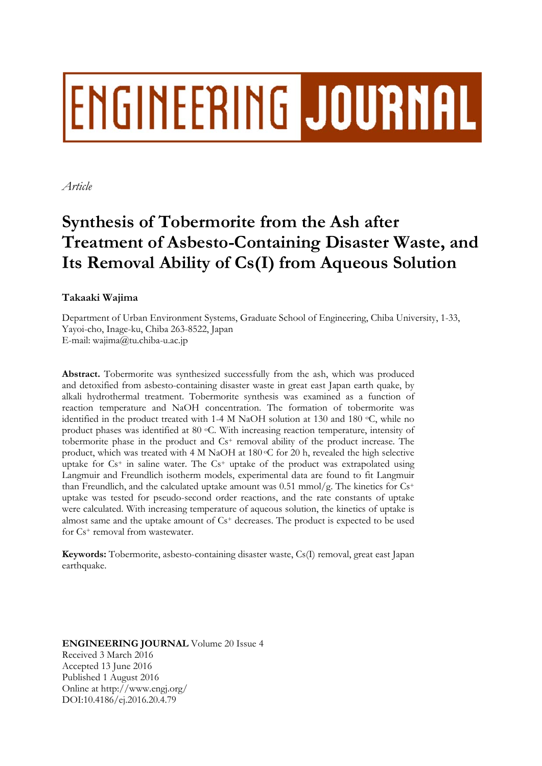# ENGINEERING JOURNAL

*Article* 

# **Synthesis of Tobermorite from the Ash after Treatment of Asbesto-Containing Disaster Waste, and Its Removal Ability of Cs(I) from Aqueous Solution**

# **Takaaki Wajima**

Department of Urban Environment Systems, Graduate School of Engineering, Chiba University, 1-33, Yayoi-cho, Inage-ku, Chiba 263-8522, Japan E-mail: wajima@tu.chiba-u.ac.jp

**Abstract.** Tobermorite was synthesized successfully from the ash, which was produced and detoxified from asbesto-containing disaster waste in great east Japan earth quake, by alkali hydrothermal treatment. Tobermorite synthesis was examined as a function of reaction temperature and NaOH concentration. The formation of tobermorite was identified in the product treated with 1-4 M NaOH solution at 130 and 180  $\degree$ C, while no product phases was identified at 80  $\degree$ C. With increasing reaction temperature, intensity of tobermorite phase in the product and Cs+ removal ability of the product increase. The product, which was treated with 4 M NaOH at 180 °C for 20 h, revealed the high selective uptake for  $Cs^+$  in saline water. The  $Cs^+$  uptake of the product was extrapolated using Langmuir and Freundlich isotherm models, experimental data are found to fit Langmuir than Freundlich, and the calculated uptake amount was 0.51 mmol/g. The kinetics for  $Cs^{+}$ uptake was tested for pseudo-second order reactions, and the rate constants of uptake were calculated. With increasing temperature of aqueous solution, the kinetics of uptake is almost same and the uptake amount of  $Cs<sup>+</sup>$  decreases. The product is expected to be used for Cs+ removal from wastewater.

**Keywords:** Tobermorite, asbesto-containing disaster waste, Cs(I) removal, great east Japan earthquake.

**ENGINEERING JOURNAL** Volume 20 Issue 4 Received 3 March 2016 Accepted 13 June 2016 Published 1 August 2016 Online at http://www.engj.org/ DOI:10.4186/ej.2016.20.4.79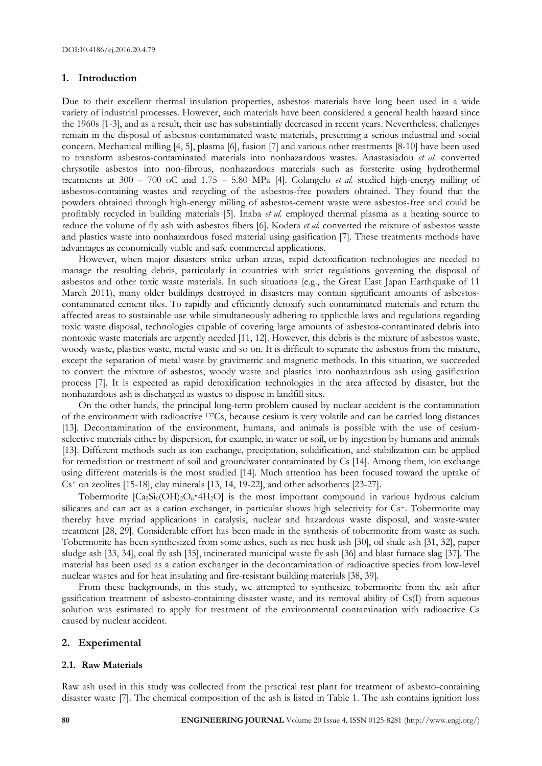#### **1. Introduction**

Due to their excellent thermal insulation properties, asbestos materials have long been used in a wide variety of industrial processes. However, such materials have been considered a general health hazard since the 1960s [1-3], and as a result, their use has substantially decreased in recent years. Nevertheless, challenges remain in the disposal of asbestos-contaminated waste materials, presenting a serious industrial and social concern. Mechanical milling [4, 5], plasma [6], fusion [7] and various other treatments [8-10] have been used to transform asbestos-contaminated materials into nonhazardous wastes. Anastasiadou *et al.* converted chrysotile asbestos into non-fibrous, nonhazardous materials such as forsterite using hydrothermal treatments at 300 – 700 oC and 1.75 – 5.80 MPa [4]. Colangelo *et al.* studied high-energy milling of asbestos-containing wastes and recycling of the asbestos-free powders obtained. They found that the powders obtained through high-energy milling of asbestos-cement waste were asbestos-free and could be profitably recycled in building materials [5]. Inaba *et al.* employed thermal plasma as a heating source to reduce the volume of fly ash with asbestos fibers [6]. Kodera *et al.* converted the mixture of asbestos waste and plastics waste into nonhazardous fused material using gasification [7]. These treatments methods have advantages as economically viable and safe commercial applications.

However, when major disasters strike urban areas, rapid detoxification technologies are needed to manage the resulting debris, particularly in countries with strict regulations governing the disposal of asbestos and other toxic waste materials. In such situations (e.g., the Great East Japan Earthquake of 11 March 2011), many older buildings destroyed in disasters may contain significant amounts of asbestoscontaminated cement tiles. To rapidly and efficiently detoxify such contaminated materials and return the affected areas to sustainable use while simultaneously adhering to applicable laws and regulations regarding toxic waste disposal, technologies capable of covering large amounts of asbestos-contaminated debris into nontoxic waste materials are urgently needed [11, 12]. However, this debris is the mixture of asbestos waste, woody waste, plastics waste, metal waste and so on. It is difficult to separate the asbestos from the mixture, except the separation of metal waste by gravimetric and magnetic methods. In this situation, we succeeded to convert the mixture of asbestos, woody waste and plastics into nonhazardous ash using gasification process [7]. It is expected as rapid detoxification technologies in the area affected by disaster, but the nonhazardous ash is discharged as wastes to dispose in landfill sites.

On the other hands, the principal long-term problem caused by nuclear accident is the contamination of the environment with radioactive 137Cs, because cesium is very volatile and can be carried long distances [13]. Decontamination of the environment, humans, and animals is possible with the use of cesiumselective materials either by dispersion, for example, in water or soil, or by ingestion by humans and animals [13]. Different methods such as ion exchange, precipitation, solidification, and stabilization can be applied for remediation or treatment of soil and groundwater contaminated by Cs [14]. Among them, ion exchange using different materials is the most studied [14]. Much attention has been focused toward the uptake of  $Cs<sup>+</sup>$  on zeolites [15-18], clay minerals [13, 14, 19-22], and other adsorbents [23-27].

Tobermorite  $[Ca_5Si_6(OH)_2O_6 \cdot 4H_2O]$  is the most important compound in various hydrous calcium silicates and can act as a cation exchanger, in particular shows high selectivity for Cs<sup>+</sup>. Tobermorite may thereby have myriad applications in catalysis, nuclear and hazardous waste disposal, and waste-water treatment [28, 29]. Considerable effort has been made in the synthesis of tobermorite from waste as such. Tobermorite has been synthesized from some ashes, such as rice husk ash [30], oil shale ash [31, 32], paper sludge ash [33, 34], coal fly ash [35], incinerated municipal waste fly ash [36] and blast furnace slag [37]. The material has been used as a cation exchanger in the decontamination of radioactive species from low-level nuclear wastes and for heat insulating and fire-resistant building materials [38, 39].

From these backgrounds, in this study, we attempted to synthesize tobermorite from the ash after gasification treatment of asbesto-containing disaster waste, and its removal ability of Cs(I) from aqueous solution was estimated to apply for treatment of the environmental contamination with radioactive Cs caused by nuclear accident.

#### **2. Experimental**

#### **2.1. Raw Materials**

Raw ash used in this study was collected from the practical test plant for treatment of asbesto-containing disaster waste [7]. The chemical composition of the ash is listed in Table 1. The ash contains ignition loss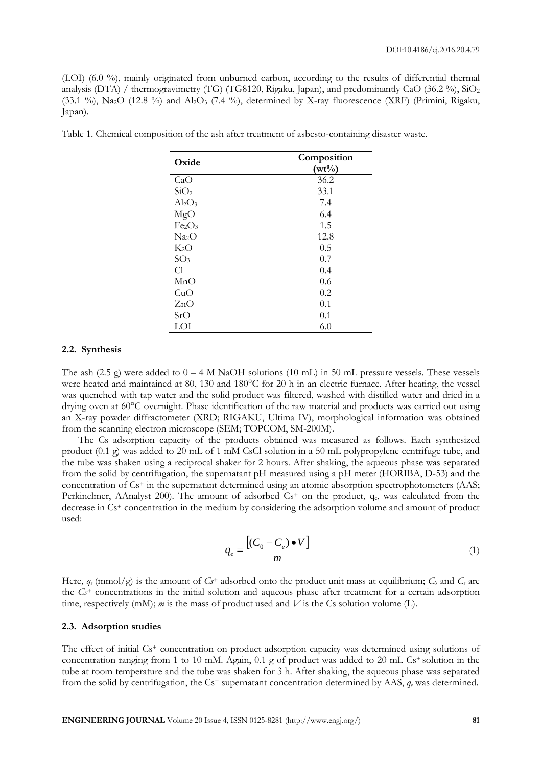(LOI) (6.0 %), mainly originated from unburned carbon, according to the results of differential thermal analysis (DTA) / thermogravimetry (TG) (TG8120, Rigaku, Japan), and predominantly CaO (36.2 %), SiO<sub>2</sub> (33.1 %), Na<sub>2</sub>O (12.8 %) and Al<sub>2</sub>O<sub>3</sub> (7.4 %), determined by X-ray fluorescence (XRF) (Primini, Rigaku, Japan).

| Oxide                          | Composition |  |  |
|--------------------------------|-------------|--|--|
|                                | $(wt\%)$    |  |  |
| CaO                            | 36.2        |  |  |
| SiO <sub>2</sub>               | 33.1        |  |  |
| $\text{Al}_2\text{O}_3$        | 7.4         |  |  |
| MgO                            | 6.4         |  |  |
| Fe <sub>2</sub> O <sub>3</sub> | 1.5         |  |  |
| Na <sub>2</sub> O              | 12.8        |  |  |
| $K_2O$                         | 0.5         |  |  |
| SO <sub>3</sub>                | 0.7         |  |  |
| Cl                             | 0.4         |  |  |
| MnO                            | 0.6         |  |  |
| CuO                            | 0.2         |  |  |
| ZnO                            | 0.1         |  |  |
| SrO                            | 0.1         |  |  |
| LOI                            | 6.0         |  |  |

Table 1. Chemical composition of the ash after treatment of asbesto-containing disaster waste.

#### **2.2. Synthesis**

The ash (2.5 g) were added to  $0 - 4$  M NaOH solutions (10 mL) in 50 mL pressure vessels. These vessels were heated and maintained at 80, 130 and 180°C for 20 h in an electric furnace. After heating, the vessel was quenched with tap water and the solid product was filtered, washed with distilled water and dried in a drying oven at 60°C overnight. Phase identification of the raw material and products was carried out using an X-ray powder diffractometer (XRD; RIGAKU, Ultima IV), morphological information was obtained from the scanning electron microscope (SEM; TOPCOM, SM-200M).

The Cs adsorption capacity of the products obtained was measured as follows. Each synthesized product (0.1 g) was added to 20 mL of 1 mM CsCl solution in a 50 mL polypropylene centrifuge tube, and the tube was shaken using a reciprocal shaker for 2 hours. After shaking, the aqueous phase was separated from the solid by centrifugation, the supernatant pH measured using a pH meter (HORIBA, D-53) and the concentration of Cs<sup>+</sup> in the supernatant determined using an atomic absorption spectrophotometers (AAS; Perkinelmer, AAnalyst 200). The amount of adsorbed Cs<sup>+</sup> on the product, q<sub>e</sub>, was calculated from the decrease in Cs+ concentration in the medium by considering the adsorption volume and amount of product used:

$$
q_e = \frac{\left[ (C_0 - C_e) \bullet V \right]}{m} \tag{1}
$$

Here,  $q_e$  (mmol/g) is the amount of  $C_f$ <sup>+</sup> adsorbed onto the product unit mass at equilibrium;  $C_0$  and  $C_e$  are the *Cs+* concentrations in the initial solution and aqueous phase after treatment for a certain adsorption time, respectively (mM); *m* is the mass of product used and  $\overline{V}$  is the Cs solution volume (L).

#### **2.3. Adsorption studies**

The effect of initial Cs<sup>+</sup> concentration on product adsorption capacity was determined using solutions of concentration ranging from 1 to 10 mM. Again, 0.1 g of product was added to 20 mL Cs<sup>+</sup> solution in the tube at room temperature and the tube was shaken for 3 h. After shaking, the aqueous phase was separated from the solid by centrifugation, the Cs+ supernatant concentration determined by AAS, *qe* was determined.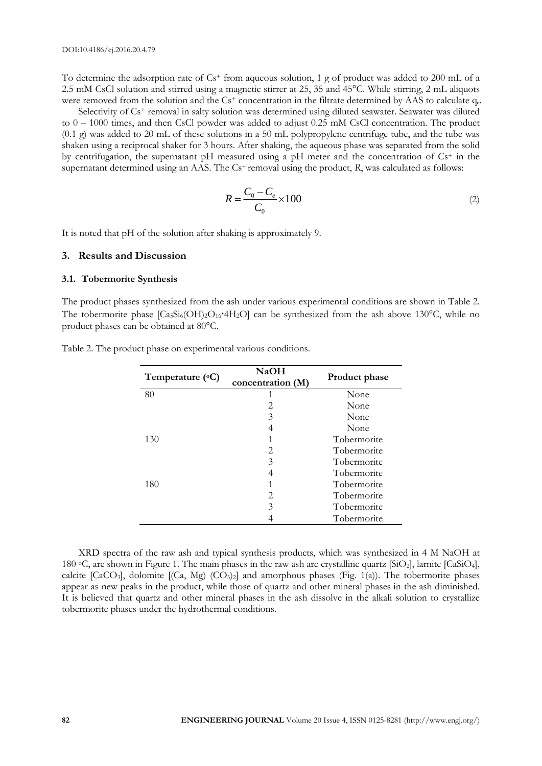To determine the adsorption rate of  $Cs<sup>+</sup>$  from aqueous solution, 1 g of product was added to 200 mL of a 2.5 mM CsCl solution and stirred using a magnetic stirrer at 25, 35 and 45°C. While stirring, 2 mL aliquots were removed from the solution and the  $Cs<sup>+</sup>$  concentration in the filtrate determined by AAS to calculate  $q_e$ .

Selectivity of Cs<sup>+</sup> removal in salty solution was determined using diluted seawater. Seawater was diluted to 0 – 1000 times, and then CsCl powder was added to adjust 0.25 mM CsCl concentration. The product (0.1 g) was added to 20 mL of these solutions in a 50 mL polypropylene centrifuge tube, and the tube was shaken using a reciprocal shaker for 3 hours. After shaking, the aqueous phase was separated from the solid by centrifugation, the supernatant pH measured using a pH meter and the concentration of Cs+ in the supernatant determined using an AAS. The Cs<sup>+</sup> removal using the product, *R*, was calculated as follows:

$$
R = \frac{C_0 - C_e}{C_0} \times 100\tag{2}
$$

It is noted that pH of the solution after shaking is approximately 9.

#### **3. Results and Discussion**

#### **3.1. Tobermorite Synthesis**

The product phases synthesized from the ash under various experimental conditions are shown in Table 2. The tobermorite phase  $[C_{45}S_{46}(OH)_2O_{16}$ <sup>-4</sup>H<sub>2</sub>O] can be synthesized from the ash above 130°C, while no product phases can be obtained at 80°C.

| Temperature $(^{\circ}C)$ | <b>NaOH</b><br>concentration (M) | Product phase |
|---------------------------|----------------------------------|---------------|
| 80                        |                                  | None          |
|                           | 2                                | None          |
|                           | 3                                | None          |
|                           |                                  | None          |
| 130                       |                                  | Tobermorite   |
|                           | $\mathcal{D}_{\cdot}$            | Tobermorite   |
|                           | 3                                | Tobermorite   |
|                           |                                  | Tobermorite   |
| 180                       |                                  | Tobermorite   |
|                           | $\mathcal{D}_{\cdot}$            | Tobermorite   |
|                           | 3                                | Tobermorite   |
|                           |                                  | Tobermorite   |

Table 2. The product phase on experimental various conditions.

XRD spectra of the raw ash and typical synthesis products, which was synthesized in 4 M NaOH at 180 oC, are shown in Figure 1. The main phases in the raw ash are crystalline quartz [SiO2], larnite [CaSiO4], calcite  $[CaCO<sub>3</sub>]$ , dolomite  $[(Ca, Mg) (CO<sub>3</sub>)<sub>2</sub>]$  and amorphous phases (Fig. 1(a)). The tobermorite phases appear as new peaks in the product, while those of quartz and other mineral phases in the ash diminished. It is believed that quartz and other mineral phases in the ash dissolve in the alkali solution to crystallize tobermorite phases under the hydrothermal conditions.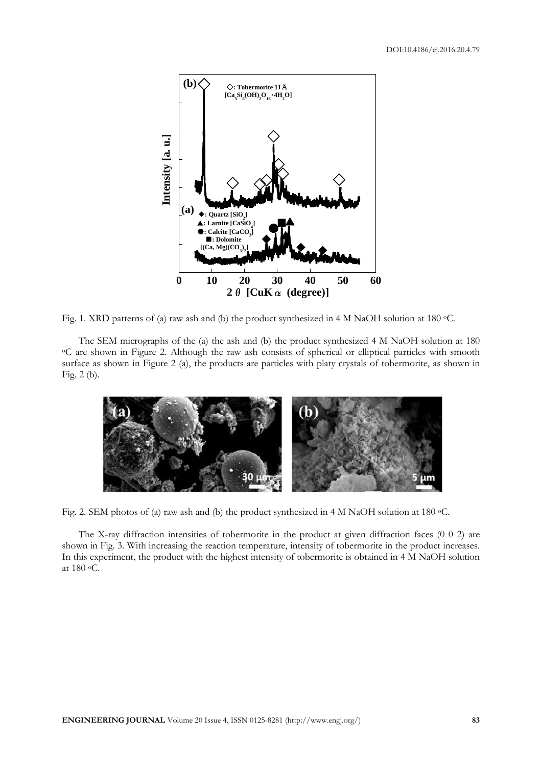

Fig. 1. XRD patterns of (a) raw ash and (b) the product synthesized in 4 M NaOH solution at 180  $\degree$ C.

The SEM micrographs of the (a) the ash and (b) the product synthesized 4 M NaOH solution at 180 °C are shown in Figure 2. Although the raw ash consists of spherical or elliptical particles with smooth surface as shown in Figure 2 (a), the products are particles with platy crystals of tobermorite, as shown in Fig. 2 (b).



Fig. 2. SEM photos of (a) raw ash and (b) the product synthesized in 4 M NaOH solution at 180 °C.

The X-ray diffraction intensities of tobermorite in the product at given diffraction faces (0 0 2) are shown in Fig. 3. With increasing the reaction temperature, intensity of tobermorite in the product increases. In this experiment, the product with the highest intensity of tobermorite is obtained in 4 M NaOH solution at 180 oC.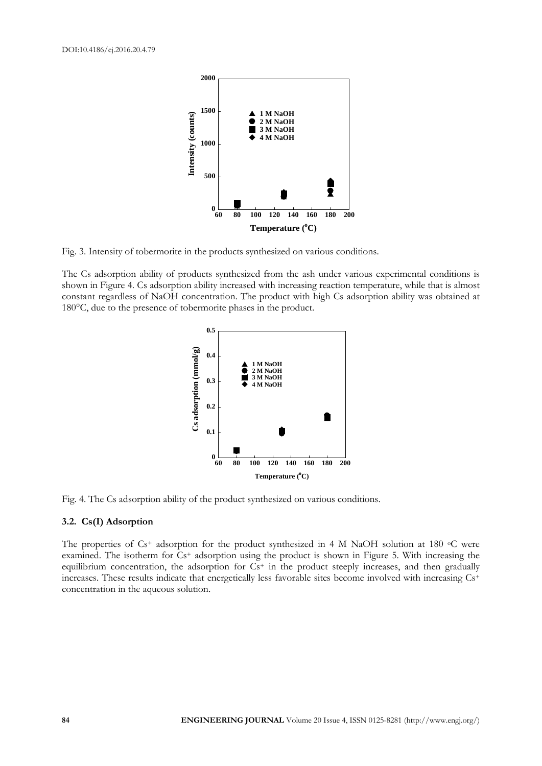

Fig. 3. Intensity of tobermorite in the products synthesized on various conditions.

The Cs adsorption ability of products synthesized from the ash under various experimental conditions is shown in Figure 4. Cs adsorption ability increased with increasing reaction temperature, while that is almost constant regardless of NaOH concentration. The product with high Cs adsorption ability was obtained at 180°C, due to the presence of tobermorite phases in the product.



Fig. 4. The Cs adsorption ability of the product synthesized on various conditions.

#### **3.2. Cs(I) Adsorption**

The properties of Cs<sup>+</sup> adsorption for the product synthesized in 4 M NaOH solution at 180 °C were examined. The isotherm for Cs<sup>+</sup> adsorption using the product is shown in Figure 5. With increasing the equilibrium concentration, the adsorption for  $Cs^+$  in the product steeply increases, and then gradually increases. These results indicate that energetically less favorable sites become involved with increasing Cs+ concentration in the aqueous solution.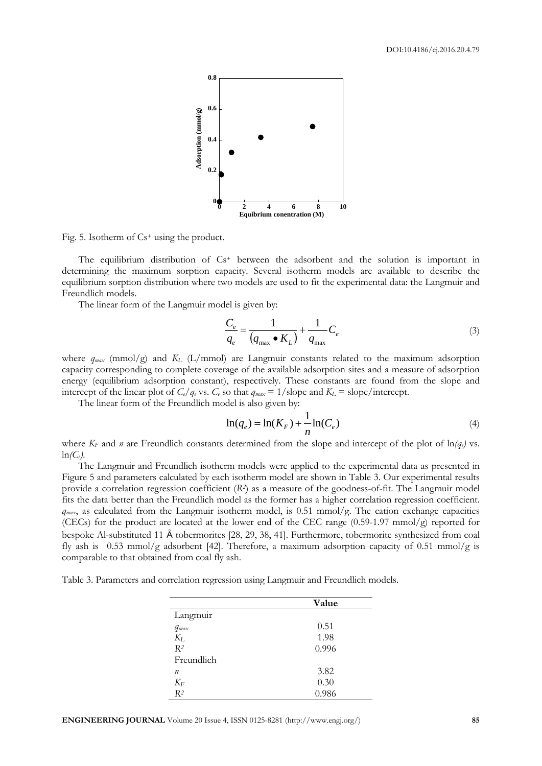

Fig. 5. Isotherm of  $Cs^+$  using the product.

The equilibrium distribution of Cs+ between the adsorbent and the solution is important in determining the maximum sorption capacity. Several isotherm models are available to describe the equilibrium sorption distribution where two models are used to fit the experimental data: the Langmuir and Freundlich models.

The linear form of the Langmuir model is given by:

$$
\frac{C_e}{q_e} = \frac{1}{(q_{\text{max}} \bullet K_L)} + \frac{1}{q_{\text{max}}} C_e
$$
\n(3)

where  $q_{max}$  (mmol/g) and  $K<sub>L</sub>$  (L/mmol) are Langmuir constants related to the maximum adsorption capacity corresponding to complete coverage of the available adsorption sites and a measure of adsorption energy (equilibrium adsorption constant), respectively. These constants are found from the slope and intercept of the linear plot of  $C_e/q_e$  vs.  $C_e$  so that  $q_{max} = 1/\text{slope}$  and  $K_L = \text{slope/intercept}$ .

The linear form of the Freundlich model is also given by:

$$
\ln(q_e) = \ln(K_F) + \frac{1}{n}\ln(C_e)
$$
 (4)

where  $K_F$  and *n* are Freundlich constants determined from the slope and intercept of the plot of  $\ln(q_e)$  vs. ln*(Ce)*.

The Langmuir and Freundlich isotherm models were applied to the experimental data as presented in Figure 5 and parameters calculated by each isotherm model are shown in Table 3. Our experimental results provide a correlation regression coefficient (*R2*) as a measure of the goodness-of-fit. The Langmuir model fits the data better than the Freundlich model as the former has a higher correlation regression coefficient.  $q_{max}$ , as calculated from the Langmuir isotherm model, is 0.51 mmol/g. The cation exchange capacities (CECs) for the product are located at the lower end of the CEC range  $(0.59-1.97 \text{ mmol/g})$  reported for bespoke Al-substituted 11 Å tobermorites [28, 29, 38, 41]. Furthermore, tobermorite synthesized from coal fly ash is 0.53 mmol/g adsorbent [42]. Therefore, a maximum adsorption capacity of 0.51 mmol/g is comparable to that obtained from coal fly ash.

Table 3. Parameters and correlation regression using Langmuir and Freundlich models.

|                  | Value |  |  |
|------------------|-------|--|--|
| Langmuir         |       |  |  |
| $q_{max}$        | 0.51  |  |  |
| $K_L$            | 1.98  |  |  |
| $R^2$            | 0.996 |  |  |
| Freundlich       |       |  |  |
| $\boldsymbol{n}$ | 3.82  |  |  |
| $K_F$            | 0.30  |  |  |
| $R^2$            | 0.986 |  |  |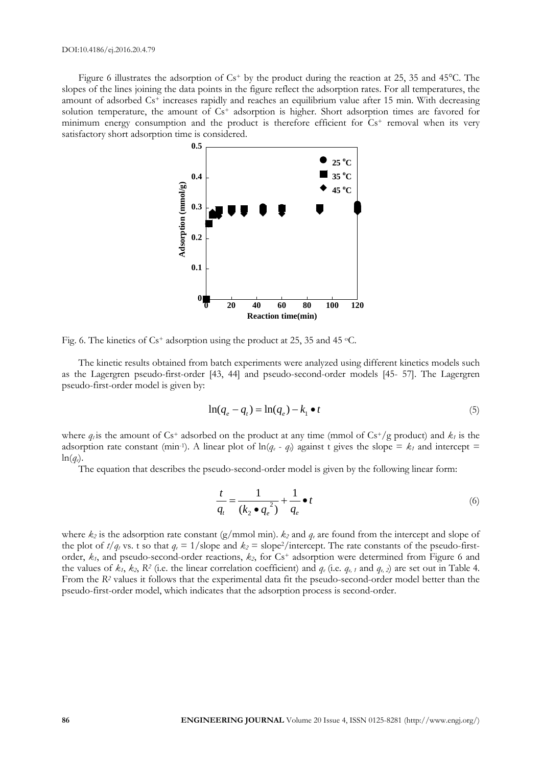Figure 6 illustrates the adsorption of Cs<sup>+</sup> by the product during the reaction at 25, 35 and 45<sup>o</sup>C. The slopes of the lines joining the data points in the figure reflect the adsorption rates. For all temperatures, the amount of adsorbed Cs+ increases rapidly and reaches an equilibrium value after 15 min. With decreasing solution temperature, the amount of  $Cs<sup>+</sup>$  adsorption is higher. Short adsorption times are favored for minimum energy consumption and the product is therefore efficient for  $Cs<sup>+</sup>$  removal when its very satisfactory short adsorption time is considered.



Fig. 6. The kinetics of Cs<sup>+</sup> adsorption using the product at 25, 35 and 45  $\,^{\circ}$ C.

The kinetic results obtained from batch experiments were analyzed using different kinetics models such as the Lagergren pseudo-first-order [43, 44] and pseudo-second-order models [45- 57]. The Lagergren pseudo-first-order model is given by:

$$
\ln(q_e - q_t) = \ln(q_e) - k_1 \bullet t \tag{5}
$$

where  $q_i$  is the amount of Cs<sup>+</sup> adsorbed on the product at any time (mmol of Cs<sup>+</sup>/g product) and  $k_i$  is the adsorption rate constant (min<sup>-1</sup>). A linear plot of  $\ln(q_e - q_i)$  against t gives the slope =  $k_1$  and intercept =  $ln(q_e)$ 

The equation that describes the pseudo-second-order model is given by the following linear form:

$$
\frac{t}{q_t} = \frac{1}{\left(k_2 \bullet q_e^2\right)} + \frac{1}{q_e} \bullet t \tag{6}
$$

where  $k_2$  is the adsorption rate constant (g/mmol min).  $k_2$  and  $q_e$  are found from the intercept and slope of the plot of  $t/q_t$  vs. t so that  $q_e = 1$ /slope and  $k_2 =$ slope<sup>2</sup>/intercept. The rate constants of the pseudo-firstorder,  $k_1$ , and pseudo-second-order reactions,  $k_2$ , for Cs<sup>+</sup> adsorption were determined from Figure 6 and the values of  $k_1$ ,  $k_2$ ,  $R^2$  (i.e. the linear correlation coefficient) and  $q_e$  (i.e.  $q_{e,1}$  and  $q_{e,2}$ ) are set out in Table 4. From the *R<sup>2</sup>* values it follows that the experimental data fit the pseudo-second-order model better than the pseudo-first-order model, which indicates that the adsorption process is second-order.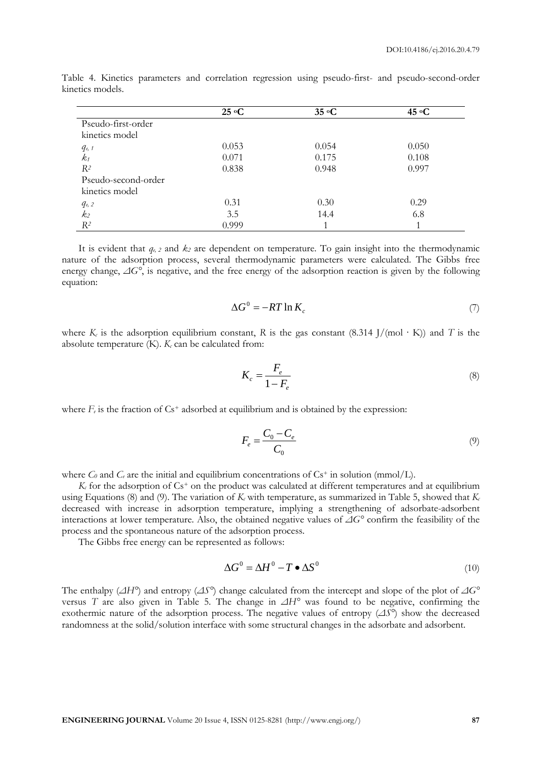|                     | 25 °C | 35 °C | 45 $\rm ^{6}C$ |
|---------------------|-------|-------|----------------|
| Pseudo-first-order  |       |       |                |
| kinetics model      |       |       |                |
| $q_{e, 1}$          | 0.053 | 0.054 | 0.050          |
| $k_1$               | 0.071 | 0.175 | 0.108          |
| $R^2$               | 0.838 | 0.948 | 0.997          |
| Pseudo-second-order |       |       |                |
| kinetics model      |       |       |                |
| $q_{e,2}$           | 0.31  | 0.30  | 0.29           |
| k <sub>2</sub>      | 3.5   | 14.4  | 6.8            |
| $R^2$               | 0.999 |       |                |

Table 4. Kinetics parameters and correlation regression using pseudo-first- and pseudo-second-order kinetics models.

It is evident that  $q_{\epsilon,2}$  and  $k_2$  are dependent on temperature. To gain insight into the thermodynamic nature of the adsorption process, several thermodynamic parameters were calculated. The Gibbs free energy change, *ΔG°*, is negative, and the free energy of the adsorption reaction is given by the following equation:

$$
\Delta G^0 = -RT \ln K_c \tag{7}
$$

where  $K_c$  is the adsorption equilibrium constant, R is the gas constant (8.314 J/(mol · K)) and *T* is the absolute temperature  $(K)$ .  $K_c$  can be calculated from:

$$
K_c = \frac{F_e}{1 - F_e} \tag{8}
$$

where  $F_e$  is the fraction of  $Cs^+$  adsorbed at equilibrium and is obtained by the expression:

$$
F_e = \frac{C_0 - C_e}{C_0} \tag{9}
$$

where  $C_0$  and  $C_e$  are the initial and equilibrium concentrations of  $Cs^+$  in solution (mmol/L).

 $K_c$  for the adsorption of  $Cs^+$  on the product was calculated at different temperatures and at equilibrium using Equations (8) and (9). The variation of  $K_c$  with temperature, as summarized in Table 5, showed that  $K_c$ decreased with increase in adsorption temperature, implying a strengthening of adsorbate-adsorbent interactions at lower temperature. Also, the obtained negative values of *ΔG°* confirm the feasibility of the process and the spontaneous nature of the adsorption process.

The Gibbs free energy can be represented as follows:

$$
\Delta G^0 = \Delta H^0 - T \bullet \Delta S^0 \tag{10}
$$

The enthalpy (*ΔH°*) and entropy (*ΔS°*) change calculated from the intercept and slope of the plot of *ΔG°* versus *T* are also given in Table 5. The change in *ΔH°* was found to be negative, confirming the exothermic nature of the adsorption process. The negative values of entropy (*ΔS°*) show the decreased randomness at the solid/solution interface with some structural changes in the adsorbate and adsorbent.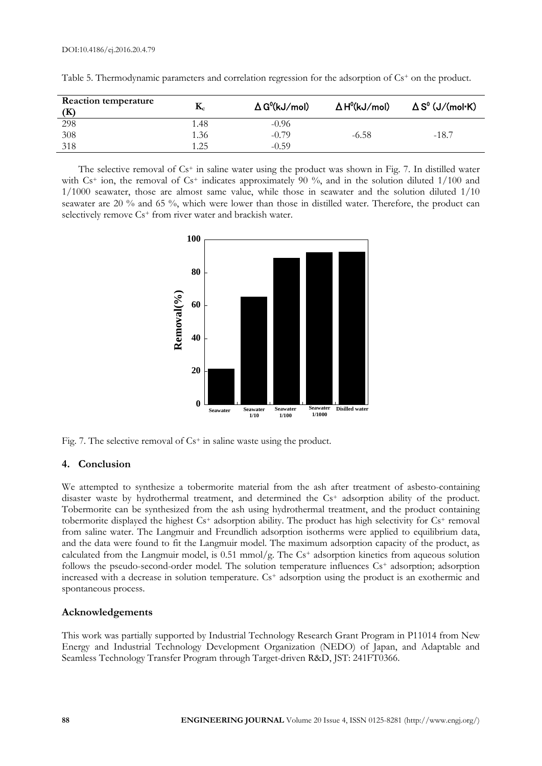| <b>Reaction temperature</b> | $\mathbf{K}_{\mathrm{c}}$ | $\Delta G^{0}(kJ/mol)$ | $\Delta H^{0}(kJ/mol)$ | $\Delta S^0$ (J/(mol-K) |
|-----------------------------|---------------------------|------------------------|------------------------|-------------------------|
| 298                         | l.48                      | $-0.96$                |                        |                         |
| 308                         | 1.36                      | $-0.79$                | $-6.58$                | $-18.7$                 |
| 318                         | 1.25                      | $-0.59$                |                        |                         |

Table 5. Thermodynamic parameters and correlation regression for the adsorption of Cs<sup>+</sup> on the product.

The selective removal of Cs<sup>+</sup> in saline water using the product was shown in Fig. 7. In distilled water with  $Cs^+$  ion, the removal of  $Cs^+$  indicates approximately 90 %, and in the solution diluted 1/100 and 1/1000 seawater, those are almost same value, while those in seawater and the solution diluted 1/10 seawater are 20 % and 65 %, which were lower than those in distilled water. Therefore, the product can selectively remove Cs<sup>+</sup> from river water and brackish water.



Fig. 7. The selective removal of Cs<sup>+</sup> in saline waste using the product.

## **4. Conclusion**

We attempted to synthesize a tobermorite material from the ash after treatment of asbesto-containing disaster waste by hydrothermal treatment, and determined the Cs<sup>+</sup> adsorption ability of the product. Tobermorite can be synthesized from the ash using hydrothermal treatment, and the product containing tobermorite displayed the highest Cs<sup>+</sup> adsorption ability. The product has high selectivity for Cs<sup>+</sup> removal from saline water. The Langmuir and Freundlich adsorption isotherms were applied to equilibrium data, and the data were found to fit the Langmuir model. The maximum adsorption capacity of the product, as calculated from the Langmuir model, is 0.51 mmol/g. The Cs+ adsorption kinetics from aqueous solution follows the pseudo-second-order model. The solution temperature influences Cs<sup>+</sup> adsorption; adsorption increased with a decrease in solution temperature. Cs<sup>+</sup> adsorption using the product is an exothermic and spontaneous process.

## **Acknowledgements**

This work was partially supported by Industrial Technology Research Grant Program in P11014 from New Energy and Industrial Technology Development Organization (NEDO) of Japan, and Adaptable and Seamless Technology Transfer Program through Target-driven R&D, JST: 241FT0366.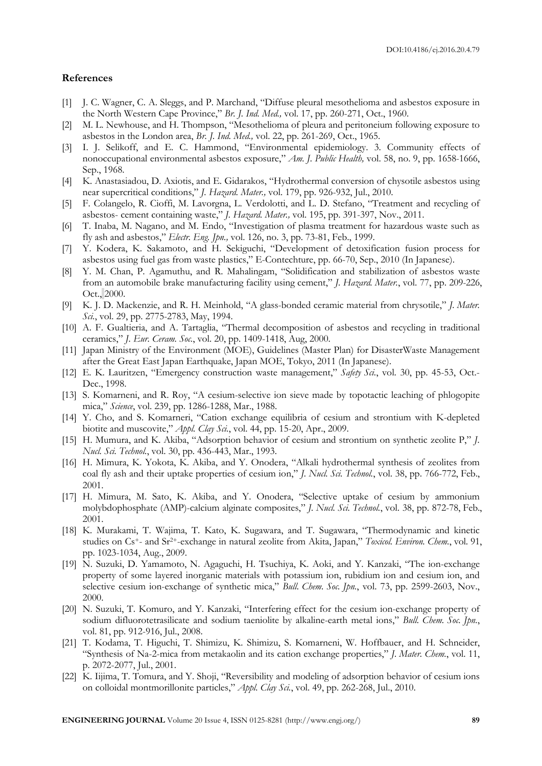#### **References**

- [1] J. C. Wagner, C. A. Sleggs, and P. Marchand, "Diffuse pleural mesothelioma and asbestos exposure in the North Western Cape Province," *Br. J. Ind. Med.,* vol. 17, pp. 260-271, Oct., 1960.
- [2] M. L. Newhouse, and H. Thompson, "Mesothelioma of pleura and peritoneium following exposure to asbestos in the London area, *Br. J. Ind. Med.,* vol. 22, pp. 261-269, Oct., 1965.
- [3] I. J. Selikoff, and E. C. Hammond, "Environmental epidemiology. 3. Community effects of nonoccupational environmental asbestos exposure," *Am. J. Public Health,* vol. 58, no. 9, pp. 1658-1666, Sep., 1968.
- [4] K. Anastasiadou, D. Axiotis, and E. Gidarakos, "Hydrothermal conversion of chysotile asbestos using near supercritical conditions," *J. Hazard. Mater.,* vol. 179, pp. 926-932, Jul., 2010.
- [5] F. Colangelo, R. Cioffi, M. Lavorgna, L. Verdolotti, and L. D. Stefano, "Treatment and recycling of asbestos- cement containing waste," *J. Hazard. Mater.,* vol. 195, pp. 391-397, Nov., 2011.
- [6] T. Inaba, M. Nagano, and M. Endo, "Investigation of plasma treatment for hazardous waste such as fly ash and asbestos," *Electr. Eng. Jpn.,* vol. 126, no. 3, pp. 73-81, Feb., 1999.
- [7] Y. Kodera, K. Sakamoto, and H. Sekiguchi, "Development of detoxification fusion process for asbestos using fuel gas from waste plastics," E-Contechture, pp. 66-70, Sep., 2010 (In Japanese).
- [8] Y. M. Chan, P. Agamuthu, and R. Mahalingam, "Solidification and stabilization of asbestos waste from an automobile brake manufacturing facility using cement," *J. Hazard. Mater.*, vol. 77, pp. 209-226, Oct., 2000.
- [9] K. J. D. Mackenzie, and R. H. Meinhold, "A glass-bonded ceramic material from chrysotile," *J. Mater. Sci.*, vol. 29, pp. 2775-2783, May, 1994.
- [10] A. F. Gualtieria, and A. Tartaglia, "Thermal decomposition of asbestos and recycling in traditional ceramics," *J. Eur. Ceram. Soc.*, vol. 20, pp. 1409-1418, Aug, 2000.
- [11] Japan Ministry of the Environment (MOE), Guidelines (Master Plan) for DisasterWaste Management after the Great East Japan Earthquake, Japan MOE, Tokyo, 2011 (In Japanese).
- [12] E. K. Lauritzen, "Emergency construction waste management," *Safety Sci.*, vol. 30, pp. 45-53, Oct.- Dec., 1998.
- [13] S. Komarneni, and R. Roy, "A cesium-selective ion sieve made by topotactic leaching of phlogopite mica," *Science*, vol. 239, pp. 1286-1288, Mar., 1988.
- [14] Y. Cho, and S. Komarneri, "Cation exchange equilibria of cesium and strontium with K-depleted biotite and muscovite," *Appl. Clay Sci.*, vol. 44, pp. 15-20, Apr., 2009.
- [15] H. Mumura, and K. Akiba, "Adsorption behavior of cesium and strontium on synthetic zeolite P," *J. Nucl. Sci. Technol.*, vol. 30, pp. 436-443, Mar., 1993.
- [16] H. Mimura, K. Yokota, K. Akiba, and Y. Onodera, "Alkali hydrothermal synthesis of zeolites from coal fly ash and their uptake properties of cesium ion," *J. Nucl. Sci. Technol.*, vol. 38, pp. 766-772, Feb., 2001.
- [17] H. Mimura, M. Sato, K. Akiba, and Y. Onodera, "Selective uptake of cesium by ammonium molybdophosphate (AMP)-calcium alginate composites," *J. Nucl. Sci. Technol.*, vol. 38, pp. 872-78, Feb., 2001.
- [18] K. Murakami, T. Wajima, T. Kato, K. Sugawara, and T. Sugawara, "Thermodynamic and kinetic studies on Cs+- and Sr2+-exchange in natural zeolite from Akita, Japan," *Toxicol. Environ. Chem.*, vol. 91, pp. 1023-1034, Aug., 2009.
- [19] N. Suzuki, D. Yamamoto, N. Agaguchi, H. Tsuchiya, K. Aoki, and Y. Kanzaki, "The ion-exchange property of some layered inorganic materials with potassium ion, rubidium ion and cesium ion, and selective cesium ion-exchange of synthetic mica," *Bull. Chem. Soc. Jpn.*, vol. 73, pp. 2599-2603, Nov., 2000.
- [20] N. Suzuki, T. Komuro, and Y. Kanzaki, "Interfering effect for the cesium ion-exchange property of sodium difluorotetrasilicate and sodium taeniolite by alkaline-earth metal ions," *Bull. Chem. Soc. Jpn.*, vol. 81, pp. 912-916, Jul., 2008.
- [21] T. Kodama, T. Higuchi, T. Shimizu, K. Shimizu, S. Komarneni, W. Hoffbauer, and H. Schneider, "Synthesis of Na-2-mica from metakaolin and its cation exchange properties," *J. Mater. Chem.*, vol. 11, p. 2072-2077, Jul., 2001.
- [22] K. Iijima, T. Tomura, and Y. Shoji, "Reversibility and modeling of adsorption behavior of cesium ions on colloidal montmorillonite particles," *Appl. Clay Sci.*, vol. 49, pp. 262-268, Jul., 2010.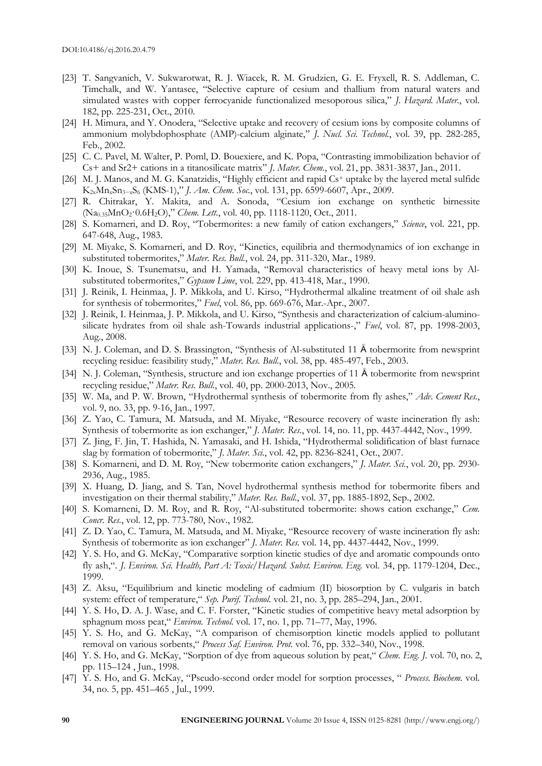- [23] T. Sangvanich, V. Sukwarotwat, R. J. Wiacek, R. M. Grudzien, G. E. Fryxell, R. S. Addleman, C. Timchalk, and W. Yantasee, "Selective capture of cesium and thallium from natural waters and simulated wastes with copper ferrocyanide functionalized mesoporous silica," *J. Hazard. Mater.*, vol. 182, pp. 225-231, Oct., 2010.
- [24] H. Mimura, and Y. Onodera, "Selective uptake and recovery of cesium ions by composite columns of ammonium molybdophosphate (AMP)-calcium alginate," *J. Nucl. Sci. Technol.*, vol. 39, pp. 282-285, Feb., 2002.
- [25] C. C. Pavel, M. Walter, P. Poml, D. Bouexiere, and K. Popa, "Contrasting immobilization behavior of Cs+ and Sr2+ cations in a titanosilicate matrix" *J. Mater. Chem.*, vol. 21, pp. 3831-3837, Jan., 2011.
- [26] M. J. Manos, and M. G. Kanatzidis, "Highly efficient and rapid Cs+ uptake by the layered metal sulfide K2xMnxSn3−xS6 (KMS-1)," *J. Am. Chem. Soc.*, vol. 131, pp. 6599-6607, Apr., 2009.
- [27] R. Chitrakar, Y. Makita, and A. Sonoda, "Cesium ion exchange on synthetic birnessite (Na0.35MnO2·0.6H2O)," *Chem. Lett.*, vol. 40, pp. 1118-1120, Oct., 2011.
- [28] S. Komarneri, and D. Roy, "Tobermorites: a new family of cation exchangers," *Science*, vol. 221, pp. 647-648, Aug., 1983.
- [29] M. Miyake, S. Komarneri, and D. Roy, "Kinetics, equilibria and thermodynamics of ion exchange in substituted tobermorites," *Mater. Res. Bull.*, vol. 24, pp. 311-320, Mar., 1989.
- [30] K. Inoue, S. Tsunematsu, and H. Yamada, "Removal characteristics of heavy metal ions by Alsubstituted tobermorites," *Gypsum Lime*, vol. 229, pp. 413-418, Mar., 1990.
- [31] J. Reinik, I. Heinmaa, J. P. Mikkola, and U. Kirso, "Hydrothermal alkaline treatment of oil shale ash for synthesis of tobermorites," *Fuel*, vol. 86, pp. 669-676, Mar.-Apr., 2007.
- [32] J. Reinik, I. Heinmaa, J. P. Mikkola, and U. Kirso, "Synthesis and characterization of calcium-aluminosilicate hydrates from oil shale ash-Towards industrial applications-," *Fuel*, vol. 87, pp. 1998-2003, Aug., 2008.
- [33] N. J. Coleman, and D. S. Brassington, "Synthesis of Al-substituted 11 Å tobermorite from newsprint recycling residue: feasibility study," *Mater. Res. Bull.*, vol. 38, pp. 485-497, Feb., 2003.
- [34] N. J. Coleman, "Synthesis, structure and ion exchange properties of 11 Å tobermorite from newsprint recycling residue," *Mater. Res. Bull.*, vol. 40, pp. 2000-2013, Nov., 2005.
- [35] W. Ma, and P. W. Brown, "Hydrothermal synthesis of tobermorite from fly ashes," *Adv. Cement Res.*, vol. 9, no. 33, pp. 9-16, Jan., 1997.
- [36] Z. Yao, C. Tamura, M. Matsuda, and M. Miyake, "Resource recovery of waste incineration fly ash: Synthesis of tobermorite as ion exchanger," *J. Mater. Res.*, vol. 14, no. 11, pp. 4437-4442, Nov., 1999.
- [37] Z. Jing, F. Jin, T. Hashida, N. Yamasaki, and H. Ishida, "Hydrothermal solidification of blast furnace slag by formation of tobermorite," *J. Mater. Sci.*, vol. 42, pp. 8236-8241, Oct., 2007.
- [38] S. Komarneni, and D. M. Roy, "New tobermorite cation exchangers," *J. Mater. Sci.*, vol. 20, pp. 2930- 2936, Aug., 1985.
- [39] X. Huang, D. Jiang, and S. Tan, Novel hydrothermal synthesis method for tobermorite fibers and investigation on their thermal stability," *Mater. Res. Bull.*, vol. 37, pp. 1885-1892, Sep., 2002.
- [40] S. Komarneni, D. M. Roy, and R. Roy, "Al-substituted tobermorite: shows cation exchange," *Cem. Concr. Res.*, vol. 12, pp. 773-780, Nov., 1982.
- [41] Z. D. Yao, C. Tamura, M. Matsuda, and M. Miyake, "Resource recovery of waste incineration fly ash: Synthesis of tobermorite as ion exchanger" *J. Mater. Res.* vol. 14, pp. 4437-4442, Nov., 1999.
- [42] Y. S. Ho, and G. McKay, "Comparative sorption kinetic studies of dye and aromatic compounds onto fly ash,". *J. Environ. Sci. Health, Part A: Toxic/Hazard. Subst. Environ. Eng.* vol. 34, pp. 1179-1204, Dec., 1999.
- [43] Z. Aksu, "Equilibrium and kinetic modeling of cadmium (II) biosorption by C. vulgaris in batch system: effect of temperature," *Sep. Purif. Technol.* vol. 21, no. 3, pp. 285–294, Jan., 2001.
- [44] Y. S. Ho, D. A. J. Wase, and C. F. Forster, "Kinetic studies of competitive heavy metal adsorption by sphagnum moss peat," *Environ. Technol.* vol. 17, no. 1, pp. 71–77, May, 1996.
- [45] Y. S. Ho, and G. McKay, "A comparison of chemisorption kinetic models applied to pollutant removal on various sorbents," *Process Saf. Environ. Prot.* vol. 76, pp. 332–340, Nov., 1998.
- [46] Y. S. Ho, and G. McKay, "Sorption of dye from aqueous solution by peat," *Chem. Eng. J.* vol. 70, no. 2, pp. 115–124 , Jun., 1998.
- [47] Y. S. Ho, and G. McKay, "Pseudo-second order model for sorption processes, " *Process. Biochem.* vol. 34, no. 5, pp. 451–465 , Jul., 1999.